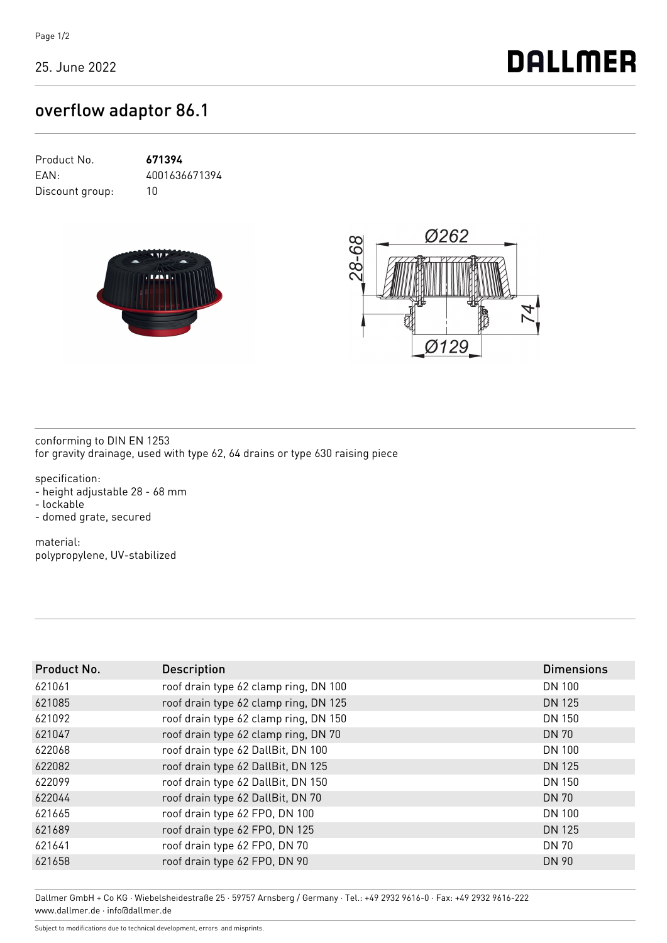25. June 2022

**DALLMER** 

## overflow adaptor 86.1

| Product No.     | 671394        |
|-----------------|---------------|
| EAN:            | 4001636671394 |
| Discount group: | 1Π            |





conforming to DIN EN 1253 for gravity drainage, used with type 62, 64 drains or type 630 raising piece

specification: - height adjustable 28 - 68 mm - lockable - domed grate, secured

material: polypropylene, UV-stabilized

| Product No. | <b>Description</b>                    | <b>Dimensions</b> |
|-------------|---------------------------------------|-------------------|
| 621061      | roof drain type 62 clamp ring, DN 100 | DN 100            |
| 621085      | roof drain type 62 clamp ring, DN 125 | DN 125            |
| 621092      | roof drain type 62 clamp ring, DN 150 | DN 150            |
| 621047      | roof drain type 62 clamp ring, DN 70  | <b>DN 70</b>      |
| 622068      | roof drain type 62 DallBit, DN 100    | DN 100            |
| 622082      | roof drain type 62 DallBit, DN 125    | <b>DN 125</b>     |
| 622099      | roof drain type 62 DallBit, DN 150    | DN 150            |
| 622044      | roof drain type 62 DallBit, DN 70     | <b>DN 70</b>      |
| 621665      | roof drain type 62 FPO, DN 100        | DN 100            |
| 621689      | roof drain type 62 FPO, DN 125        | DN 125            |
| 621641      | roof drain type 62 FPO, DN 70         | <b>DN 70</b>      |
| 621658      | roof drain type 62 FPO, DN 90         | DN 90             |
|             |                                       |                   |

Dallmer GmbH + Co KG · Wiebelsheidestraße 25 · 59757 Arnsberg / Germany · Tel.: +49 2932 9616-0 · Fax: +49 2932 9616-222 www.dallmer.de · info@dallmer.de

Subject to modifications due to technical development, errors and misprints.